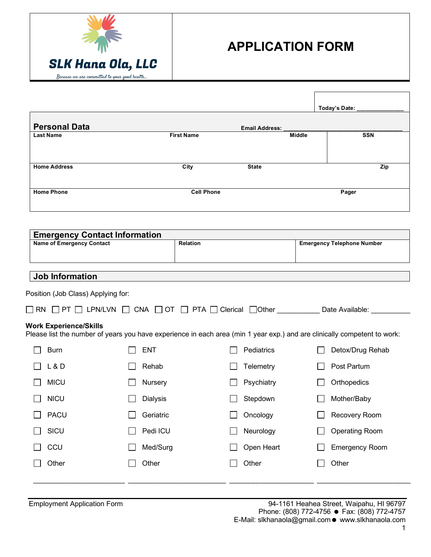

|                                                                          |                 |                   |                                                                                                                          |               | <b>Today's Date:</b>              |
|--------------------------------------------------------------------------|-----------------|-------------------|--------------------------------------------------------------------------------------------------------------------------|---------------|-----------------------------------|
| <b>Personal Data</b>                                                     |                 |                   | <b>Email Address:</b>                                                                                                    |               |                                   |
| <b>Last Name</b>                                                         |                 | <b>First Name</b> |                                                                                                                          | <b>Middle</b> | <b>SSN</b>                        |
| <b>Home Address</b>                                                      |                 | City              | <b>State</b>                                                                                                             |               | Zip                               |
| <b>Home Phone</b>                                                        |                 | <b>Cell Phone</b> |                                                                                                                          |               | Pager                             |
|                                                                          |                 |                   |                                                                                                                          |               |                                   |
| <b>Emergency Contact Information</b><br><b>Name of Emergency Contact</b> |                 | <b>Relation</b>   |                                                                                                                          |               | <b>Emergency Telephone Number</b> |
|                                                                          |                 |                   |                                                                                                                          |               |                                   |
| <b>Job Information</b>                                                   |                 |                   |                                                                                                                          |               |                                   |
|                                                                          |                 |                   |                                                                                                                          |               |                                   |
| Position (Job Class) Applying for:                                       |                 |                   |                                                                                                                          |               |                                   |
|                                                                          |                 |                   |                                                                                                                          |               |                                   |
|                                                                          |                 |                   | □ RN □ PT □ LPN/LVN □ CNA □ OT □ PTA □ Clerical □Other Date Available: ________                                          |               |                                   |
| <b>Work Experience/Skills</b>                                            |                 |                   | Please list the number of years you have experience in each area (min 1 year exp.) and are clinically competent to work: |               |                                   |
| <b>Burn</b>                                                              | <b>ENT</b>      |                   | Pediatrics                                                                                                               |               | Detox/Drug Rehab                  |
| L & D                                                                    | Rehab           |                   | Telemetry                                                                                                                |               | Post Partum                       |
| <b>MICU</b>                                                              | Nursery         |                   | Psychiatry                                                                                                               |               | Orthopedics                       |
| <b>NICU</b>                                                              | <b>Dialysis</b> |                   | Stepdown                                                                                                                 |               | Mother/Baby                       |
| <b>PACU</b>                                                              | Geriatric       |                   | Oncology                                                                                                                 |               | Recovery Room                     |
| SICU                                                                     | Pedi ICU        |                   | Neurology                                                                                                                |               | <b>Operating Room</b>             |
| CCU                                                                      | Med/Surg        |                   | Open Heart                                                                                                               |               | <b>Emergency Room</b>             |
| Other                                                                    | Other           |                   | Other                                                                                                                    |               | Other                             |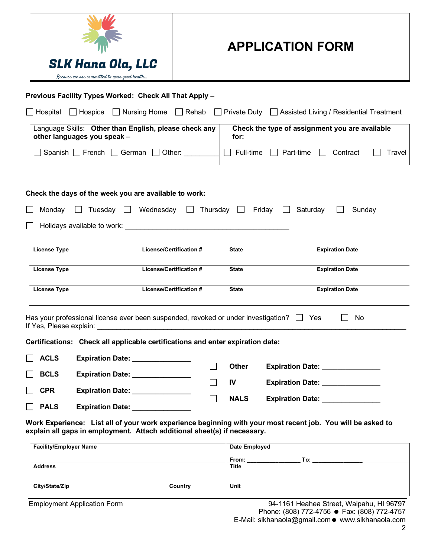

| Previous Facility Types Worked: Check All That Apply -                                                                                                                                                                         |              |                     |                                                        |                        |        |
|--------------------------------------------------------------------------------------------------------------------------------------------------------------------------------------------------------------------------------|--------------|---------------------|--------------------------------------------------------|------------------------|--------|
| □ Hospice □ Nursing Home<br>Hospital                                                                                                                                                                                           | $\Box$ Rehab |                     | Private Duty □ Assisted Living / Residential Treatment |                        |        |
| Language Skills: Other than English, please check any<br>other languages you speak -                                                                                                                                           |              | for:                | Check the type of assignment you are available         |                        |        |
| Spanish French $\Box$ German $\Box$ Other:                                                                                                                                                                                     |              | Full-time<br>$\Box$ | $\Box$ Part-time<br>$\mathbf{1}$                       | Contract               | Travel |
| Check the days of the week you are available to work:                                                                                                                                                                          |              |                     |                                                        |                        |        |
| $\Box$ Tuesday $\Box$ Wednesday<br>Monday                                                                                                                                                                                      |              |                     | $\Box$ Thursday $\Box$ Friday $\Box$ Saturday          | Sunday                 |        |
| Holidays available to work: Notice and the state of the state of the state of the state of the state of the state of the state of the state of the state of the state of the state of the state of the state of the state of t |              |                     |                                                        |                        |        |
| License/Certification #<br><b>License Type</b>                                                                                                                                                                                 |              | <b>State</b>        |                                                        | <b>Expiration Date</b> |        |
| <b>License Type</b><br><b>License/Certification #</b>                                                                                                                                                                          |              | <b>State</b>        |                                                        | <b>Expiration Date</b> |        |
| <b>License/Certification #</b><br><b>License Type</b>                                                                                                                                                                          |              | <b>State</b>        |                                                        | <b>Expiration Date</b> |        |
| Has your professional license ever been suspended, revoked or under investigation? $\Box$ Yes                                                                                                                                  |              |                     |                                                        | No<br>$\mathsf{I}$     |        |
| Certifications: Check all applicable certifications and enter expiration date:                                                                                                                                                 |              |                     |                                                        |                        |        |
| <b>ACLS</b><br>Expiration Date: _______________                                                                                                                                                                                |              |                     |                                                        |                        |        |
| <b>BCLS</b><br>Expiration Date: ________________                                                                                                                                                                               | $\Box$       | <b>Other</b>        | Expiration Date: 2008                                  |                        |        |
| <b>CPR</b><br>Expiration Date: ________________                                                                                                                                                                                | $\Box$       | IV                  | Expiration Date: <b>Expiration</b>                     |                        |        |
| <b>PALS</b><br><b>Expiration Date: Expiration Date:</b>                                                                                                                                                                        | $\Box$       | <b>NALS</b>         | <b>Expiration Date: Expiration Date:</b>               |                        |        |

**Work Experience: List all of your work experience beginning with your most recent job. You will be asked to explain all gaps in employment. Attach additional sheet(s) if necessary.**

| <b>Facility/Employer Name</b> |         | Date Employed |     |
|-------------------------------|---------|---------------|-----|
|                               |         | From:         | To: |
| <b>Address</b>                |         | Title         |     |
|                               |         |               |     |
| City/State/Zip                | Country | Unit          |     |
|                               |         |               |     |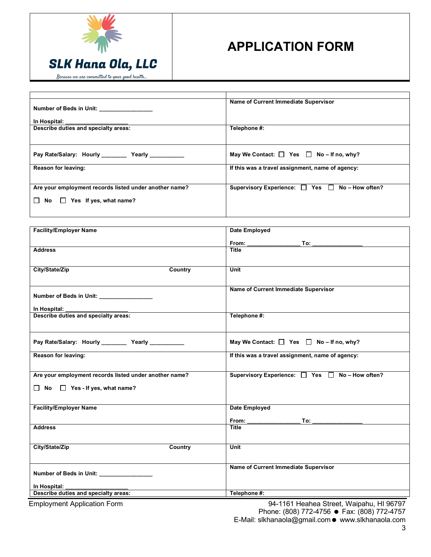

| Number of Beds in Unit: ________________               | Name of Current Immediate Supervisor               |
|--------------------------------------------------------|----------------------------------------------------|
| In Hospital: _____________________                     |                                                    |
| Describe duties and specialty areas:                   | Telephone #:                                       |
|                                                        |                                                    |
| Pay Rate/Salary: Hourly Yearly                         | May We Contact: $\Box$ Yes $\Box$ No - If no, why? |
| Reason for leaving:                                    | If this was a travel assignment, name of agency:   |
|                                                        |                                                    |
| Are your employment records listed under another name? | Supervisory Experience: □ Yes □ No-How often?      |
| $\mathsf{No} \ \Box$ Yes If yes, what name?<br>$\perp$ |                                                    |
|                                                        |                                                    |

| <b>Facility/Employer Name</b>                          | Date Employed                                                                                                                                                                                                                       |
|--------------------------------------------------------|-------------------------------------------------------------------------------------------------------------------------------------------------------------------------------------------------------------------------------------|
|                                                        | <b>From:</b><br>To:                                                                                                                                                                                                                 |
| <b>Address</b>                                         | <b>Title</b>                                                                                                                                                                                                                        |
|                                                        |                                                                                                                                                                                                                                     |
| City/State/Zip<br>Country                              | Unit                                                                                                                                                                                                                                |
|                                                        |                                                                                                                                                                                                                                     |
|                                                        | Name of Current Immediate Supervisor                                                                                                                                                                                                |
| Number of Beds in Unit: ________________               |                                                                                                                                                                                                                                     |
| In Hospital:                                           |                                                                                                                                                                                                                                     |
| Describe duties and specialty areas:                   | Telephone #:                                                                                                                                                                                                                        |
|                                                        |                                                                                                                                                                                                                                     |
| Pay Rate/Salary: Hourly __________ Yearly __________   | May We Contact: $\Box$ Yes $\Box$ No - If no, why?                                                                                                                                                                                  |
|                                                        |                                                                                                                                                                                                                                     |
| Reason for leaving:                                    | If this was a travel assignment, name of agency:                                                                                                                                                                                    |
|                                                        |                                                                                                                                                                                                                                     |
| Are your employment records listed under another name? | Supervisory Experience: □ Yes □ No-How often?                                                                                                                                                                                       |
| $\Box$ No $\Box$ Yes - If yes, what name?              |                                                                                                                                                                                                                                     |
|                                                        |                                                                                                                                                                                                                                     |
| <b>Facility/Employer Name</b>                          | Date Employed                                                                                                                                                                                                                       |
|                                                        | <b>From:</b> the contract of the contract of the contract of the contract of the contract of the contract of the contract of the contract of the contract of the contract of the contract of the contract of the contract of the co |
| <b>Address</b>                                         | <b>Title</b>                                                                                                                                                                                                                        |
|                                                        |                                                                                                                                                                                                                                     |
| City/State/Zip<br><b>Country</b>                       | Unit                                                                                                                                                                                                                                |
|                                                        |                                                                                                                                                                                                                                     |
|                                                        | Name of Current Immediate Supervisor                                                                                                                                                                                                |
| Number of Beds in Unit: ________________               |                                                                                                                                                                                                                                     |
| In Hospital:<br>Describe duties and specialty areas:   | Telephone #:                                                                                                                                                                                                                        |
|                                                        |                                                                                                                                                                                                                                     |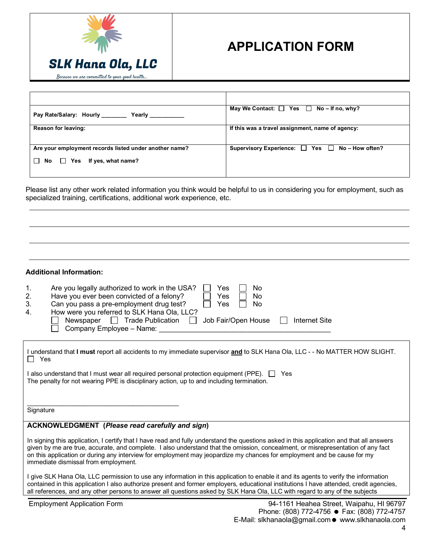

| Pay Rate/Salary: Hourly _______<br>Yearly              | May We Contact: $\Box$ Yes $\Box$ No – If no, why? |
|--------------------------------------------------------|----------------------------------------------------|
| <b>Reason for leaving:</b>                             | If this was a travel assignment, name of agency:   |
| Are your employment records listed under another name? | Supervisory Experience: □ Yes □ No-How often?      |
| $\Box$ Yes If yes, what name?<br>$\Box$ No             |                                                    |

Please list any other work related information you think would be helpful to us in considering you for employment, such as specialized training, certifications, additional work experience, etc.

### **Additional Information:**

| $\mathbf{1}$ . | Are you legally authorized to work in the USA?<br>Yes                | No            |
|----------------|----------------------------------------------------------------------|---------------|
| 2.             | Have you ever been convicted of a felony?<br>Yes                     | No            |
| 3.             | Can you pass a pre-employment drug test?<br>Yes                      | No            |
| 4.             | How were you referred to SLK Hana Ola, LLC?                          |               |
|                | Newspaper $\Box$ Trade Publication $\Box$ Job Fair/Open House $\Box$ | Internet Site |
|                | Company Employee - Name:                                             |               |

| I understand that I must report all accidents to my immediate supervisor and to SLK Hana Ola, LLC - - No MATTER HOW SLIGHT. |  |
|-----------------------------------------------------------------------------------------------------------------------------|--|
| $\Box$ Yes                                                                                                                  |  |

I also understand that I must wear all required personal protection equipment (PPE). □ Yes The penalty for not wearing PPE is disciplinary action, up to and including termination.

**Signature** 

### **ACKNOWLEDGMENT (***Please read carefully and sign***)**

 $\mathcal{L}_\text{max}$  , and the set of the set of the set of the set of the set of the set of the set of the set of the set of the set of the set of the set of the set of the set of the set of the set of the set of the set of the

In signing this application, I certify that I have read and fully understand the questions asked in this application and that all answers given by me are true, accurate, and complete. I also understand that the omission, concealment, or misrepresentation of any fact on this application or during any interview for employment may jeopardize my chances for employment and be cause for my immediate dismissal from employment.

I give SLK Hana Ola, LLC permission to use any information in this application to enable it and its agents to verify the information contained in this application I also authorize present and former employers, educational institutions I have attended, credit agencies, all references, and any other persons to answer all questions asked by SLK Hana Ola, LLC with regard to any of the subjects